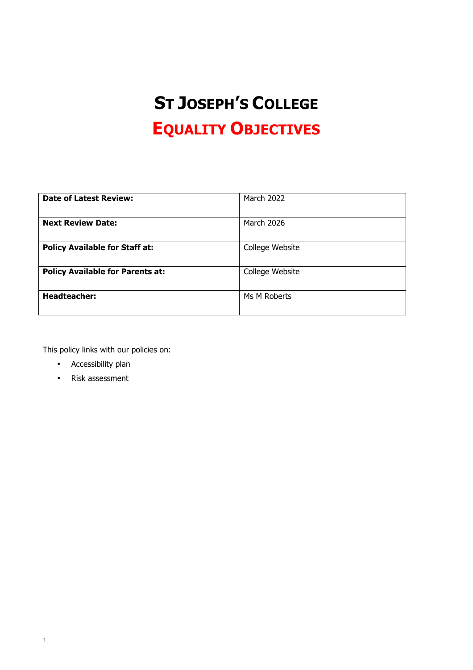# **ST JOSEPH'S COLLEGE EQUALITY OBJECTIVES**

| <b>Date of Latest Review:</b>           | <b>March 2022</b> |
|-----------------------------------------|-------------------|
|                                         |                   |
| <b>Next Review Date:</b>                | <b>March 2026</b> |
|                                         |                   |
| <b>Policy Available for Staff at:</b>   | College Website   |
|                                         |                   |
| <b>Policy Available for Parents at:</b> | College Website   |
|                                         |                   |
| <b>Headteacher:</b>                     | Ms M Roberts      |
|                                         |                   |

This policy links with our policies on:

- Accessibility plan
- Risk assessment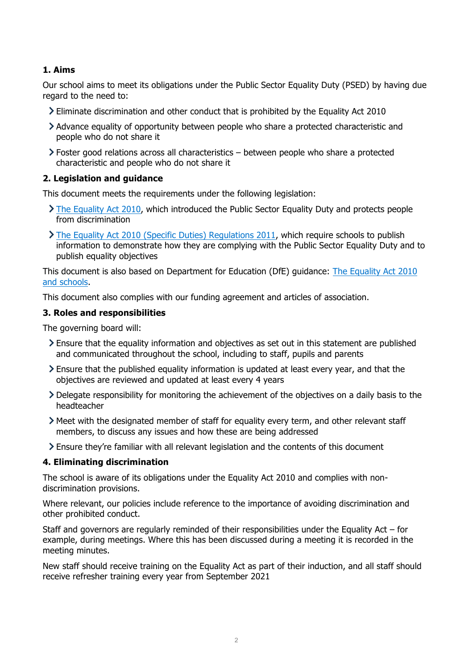## **1. Aims**

Our school aims to meet its obligations under the Public Sector Equality Duty (PSED) by having due regard to the need to:

- Eliminate discrimination and other conduct that is prohibited by the Equality Act 2010
- Advance equality of opportunity between people who share a protected characteristic and people who do not share it
- Foster good relations across all characteristics between people who share a protected characteristic and people who do not share it

#### **2. Legislation and guidance**

This document meets the requirements under the following legislation:

- $\sum$  The Equality Act 2010, which introduced the Public Sector Equality Duty and protects people from discrimination
- The Equality Act 2010 (Specific Duties) Regulations 2011, which require schools to publish information to demonstrate how they are complying with the Public Sector Equality Duty and to publish equality objectives

This document is also based on Department for Education (DfE) guidance: The Equality Act 2010 and schools.

This document also complies with our funding agreement and articles of association.

#### **3. Roles and responsibilities**

The governing board will:

- Ensure that the equality information and objectives as set out in this statement are published and communicated throughout the school, including to staff, pupils and parents
- Ensure that the published equality information is updated at least every year, and that the objectives are reviewed and updated at least every 4 years
- Delegate responsibility for monitoring the achievement of the objectives on a daily basis to the headteacher
- Meet with the designated member of staff for equality every term, and other relevant staff members, to discuss any issues and how these are being addressed
- Ensure they're familiar with all relevant legislation and the contents of this document

## **4. Eliminating discrimination**

The school is aware of its obligations under the Equality Act 2010 and complies with nondiscrimination provisions.

Where relevant, our policies include reference to the importance of avoiding discrimination and other prohibited conduct.

Staff and governors are regularly reminded of their responsibilities under the Equality Act – for example, during meetings. Where this has been discussed during a meeting it is recorded in the meeting minutes.

New staff should receive training on the Equality Act as part of their induction, and all staff should receive refresher training every year from September 2021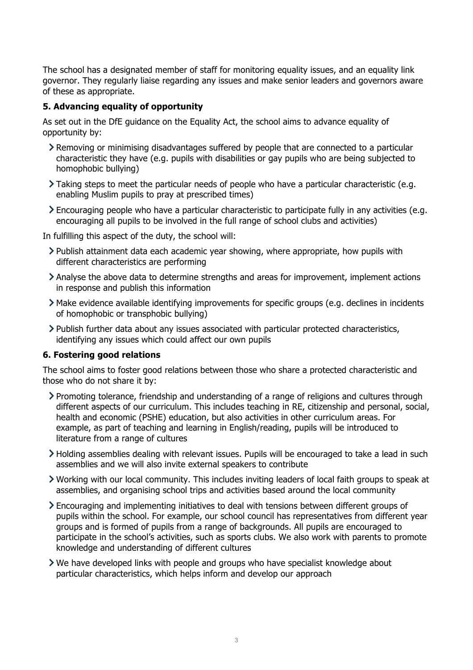The school has a designated member of staff for monitoring equality issues, and an equality link governor. They regularly liaise regarding any issues and make senior leaders and governors aware of these as appropriate.

## **5. Advancing equality of opportunity**

As set out in the DfE guidance on the Equality Act, the school aims to advance equality of opportunity by:

- Removing or minimising disadvantages suffered by people that are connected to a particular characteristic they have (e.g. pupils with disabilities or gay pupils who are being subjected to homophobic bullying)
- Taking steps to meet the particular needs of people who have a particular characteristic (e.g. enabling Muslim pupils to pray at prescribed times)
- Encouraging people who have a particular characteristic to participate fully in any activities (e.g. encouraging all pupils to be involved in the full range of school clubs and activities)

In fulfilling this aspect of the duty, the school will:

- $\geq$  Publish attainment data each academic year showing, where appropriate, how pupils with different characteristics are performing
- Analyse the above data to determine strengths and areas for improvement, implement actions in response and publish this information
- Make evidence available identifying improvements for specific groups (e.g. declines in incidents of homophobic or transphobic bullying)
- Publish further data about any issues associated with particular protected characteristics, identifying any issues which could affect our own pupils

#### **6. Fostering good relations**

The school aims to foster good relations between those who share a protected characteristic and those who do not share it by:

- Promoting tolerance, friendship and understanding of a range of religions and cultures through different aspects of our curriculum. This includes teaching in RE, citizenship and personal, social, health and economic (PSHE) education, but also activities in other curriculum areas. For example, as part of teaching and learning in English/reading, pupils will be introduced to literature from a range of cultures
- Holding assemblies dealing with relevant issues. Pupils will be encouraged to take a lead in such assemblies and we will also invite external speakers to contribute
- Working with our local community. This includes inviting leaders of local faith groups to speak at assemblies, and organising school trips and activities based around the local community
- Encouraging and implementing initiatives to deal with tensions between different groups of pupils within the school. For example, our school council has representatives from different year groups and is formed of pupils from a range of backgrounds. All pupils are encouraged to participate in the school's activities, such as sports clubs. We also work with parents to promote knowledge and understanding of different cultures
- We have developed links with people and groups who have specialist knowledge about particular characteristics, which helps inform and develop our approach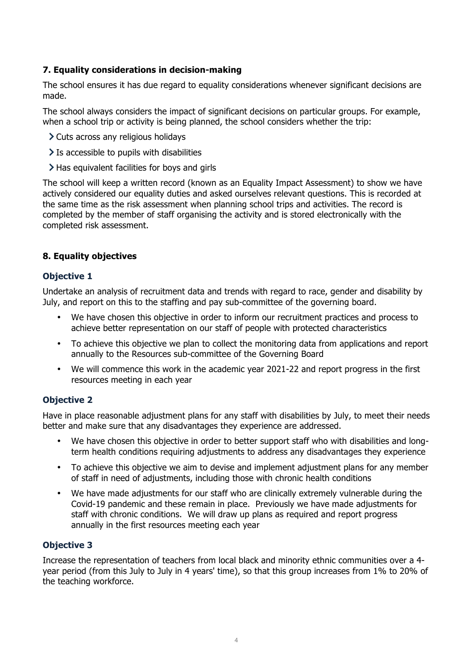## **7. Equality considerations in decision-making**

The school ensures it has due regard to equality considerations whenever significant decisions are made.

The school always considers the impact of significant decisions on particular groups. For example, when a school trip or activity is being planned, the school considers whether the trip:

- Cuts across any religious holidays
- $\geq$  Is accessible to pupils with disabilities
- Has equivalent facilities for boys and girls

The school will keep a written record (known as an Equality Impact Assessment) to show we have actively considered our equality duties and asked ourselves relevant questions. This is recorded at the same time as the risk assessment when planning school trips and activities. The record is completed by the member of staff organising the activity and is stored electronically with the completed risk assessment.

## **8. Equality objectives**

## **Objective 1**

Undertake an analysis of recruitment data and trends with regard to race, gender and disability by July, and report on this to the staffing and pay sub-committee of the governing board.

- We have chosen this objective in order to inform our recruitment practices and process to achieve better representation on our staff of people with protected characteristics
- To achieve this objective we plan to collect the monitoring data from applications and report annually to the Resources sub-committee of the Governing Board
- We will commence this work in the academic year 2021-22 and report progress in the first resources meeting in each year

## **Objective 2**

Have in place reasonable adjustment plans for any staff with disabilities by July, to meet their needs better and make sure that any disadvantages they experience are addressed.

- We have chosen this objective in order to better support staff who with disabilities and longterm health conditions requiring adjustments to address any disadvantages they experience
- To achieve this objective we aim to devise and implement adjustment plans for any member of staff in need of adjustments, including those with chronic health conditions
- We have made adjustments for our staff who are clinically extremely vulnerable during the Covid-19 pandemic and these remain in place. Previously we have made adjustments for staff with chronic conditions. We will draw up plans as required and report progress annually in the first resources meeting each year

## **Objective 3**

Increase the representation of teachers from local black and minority ethnic communities over a 4 year period (from this July to July in 4 years' time), so that this group increases from 1% to 20% of the teaching workforce.